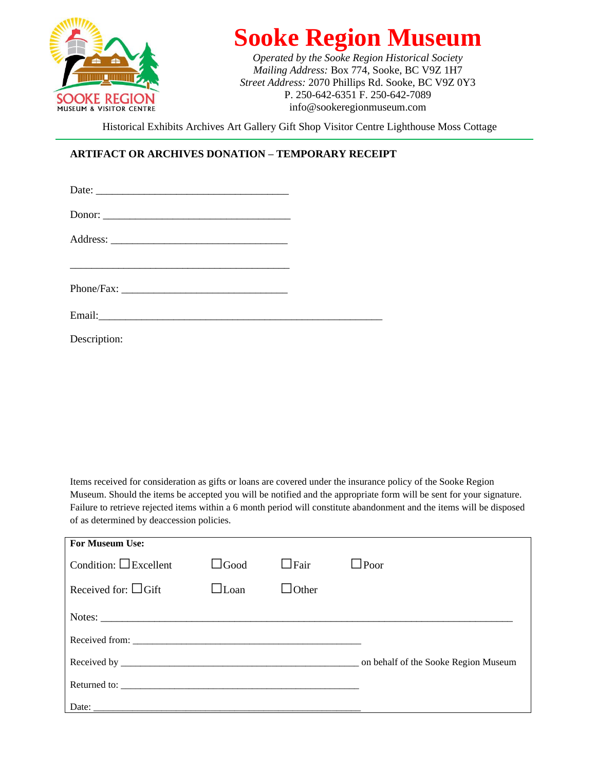

## **Sooke Region Museum**

*Operated by the Sooke Region Historical Society Mailing Address:* Box 774, Sooke, BC V9Z 1H7 *Street Address:* 2070 Phillips Rd. Sooke, BC V9Z 0Y3 P. 250-642-6351 F. 250-642-7089 info@sookeregionmuseum.com

Historical Exhibits Archives Art Gallery Gift Shop Visitor Centre Lighthouse Moss Cottage

## **ARTIFACT OR ARCHIVES DONATION – TEMPORARY RECEIPT**

| Donor: |  |
|--------|--|
|        |  |
|        |  |
|        |  |
|        |  |

Description:

Items received for consideration as gifts or loans are covered under the insurance policy of the Sooke Region Museum. Should the items be accepted you will be notified and the appropriate form will be sent for your signature. Failure to retrieve rejected items within a 6 month period will constitute abandonment and the items will be disposed of as determined by deaccession policies.

| <b>For Museum Use:</b>      |             |              |                                      |
|-----------------------------|-------------|--------------|--------------------------------------|
| Condition: $\Box$ Excellent | $\Box$ Good | $\Box$ Fair  | $\Box$ Poor                          |
| Received for: $\Box$ Gift   | $\Box$ Loan | $\Box$ Other |                                      |
|                             |             |              |                                      |
|                             |             |              |                                      |
|                             |             |              | on behalf of the Sooke Region Museum |
|                             |             |              |                                      |
|                             |             |              |                                      |